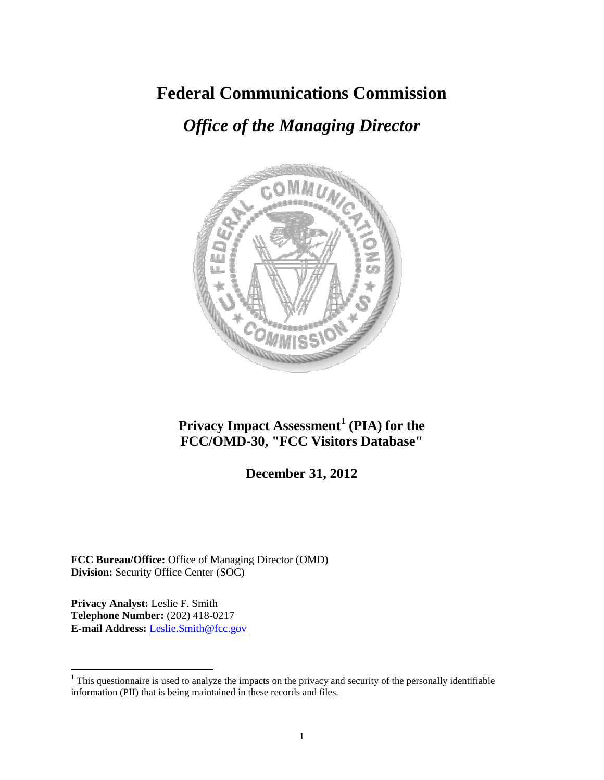# **Federal Communications Commission**

# *Office of the Managing Director*



# **Privacy Impact Assessment[1](#page-0-0) (PIA) for the FCC/OMD-30, "FCC Visitors Database"**

# **December 31, 2012**

**FCC Bureau/Office:** Office of Managing Director (OMD) **Division:** Security Office Center (SOC)

**Privacy Analyst:** Leslie F. Smith **Telephone Number:** (202) 418-0217 **E-mail Address:** Leslie.Smith@fcc.gov

<span id="page-0-0"></span><sup>&</sup>lt;sup>1</sup> This questionnaire is used to analyze the impacts on the privacy and security of the personally identifiable information (PII) that is being maintained in these records and files.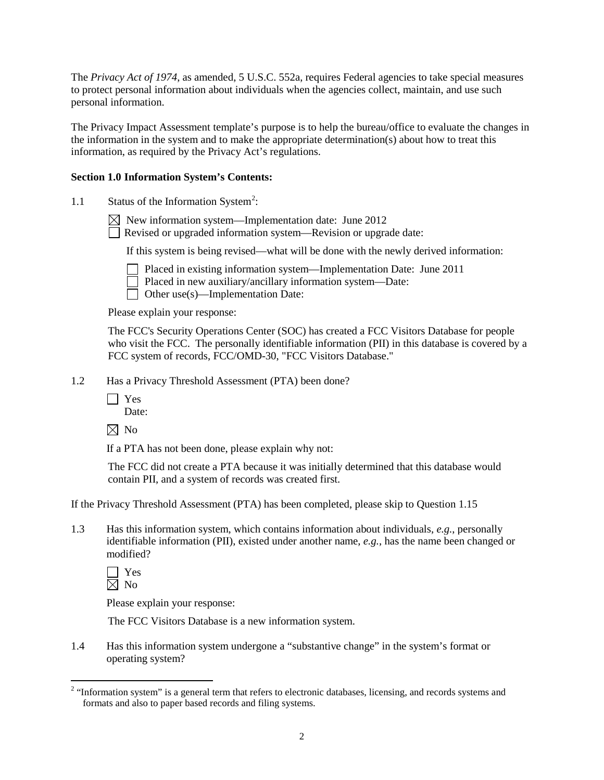The *Privacy Act of 1974*, as amended, 5 U.S.C. 552a, requires Federal agencies to take special measures to protect personal information about individuals when the agencies collect, maintain, and use such personal information.

The Privacy Impact Assessment template's purpose is to help the bureau/office to evaluate the changes in the information in the system and to make the appropriate determination(s) about how to treat this information, as required by the Privacy Act's regulations.

# **Section 1.0 Information System's Contents:**

1.1 Status of the Information System<sup>[2](#page-1-0)</sup>:

 $\boxtimes$  New information system—Implementation date: June 2012

Revised or upgraded information system—Revision or upgrade date:

If this system is being revised—what will be done with the newly derived information:

- 
- Placed in existing information system—Implementation Date: June 2011 Placed in new auxiliary/ancillary information system—Date:
- $\Box$  Other use(s)—Implementation Date:

Please explain your response:

The FCC's Security Operations Center (SOC) has created a FCC Visitors Database for people who visit the FCC. The personally identifiable information (PII) in this database is covered by a FCC system of records, FCC/OMD-30, "FCC Visitors Database."

- 1.2 Has a Privacy Threshold Assessment (PTA) been done?
	- Yes Date:
	- $\boxtimes$  No

If a PTA has not been done, please explain why not:

The FCC did not create a PTA because it was initially determined that this database would contain PII, and a system of records was created first.

If the Privacy Threshold Assessment (PTA) has been completed, please skip to Question 1.15

1.3 Has this information system, which contains information about individuals, *e.g.*, personally identifiable information (PII), existed under another name, *e.g.*, has the name been changed or modified?

Yes  $\boxtimes$  No

Please explain your response:

The FCC Visitors Database is a new information system.

1.4 Has this information system undergone a "substantive change" in the system's format or operating system?

<span id="page-1-0"></span><sup>&</sup>lt;sup>2</sup> "Information system" is a general term that refers to electronic databases, licensing, and records systems and formats and also to paper based records and filing systems.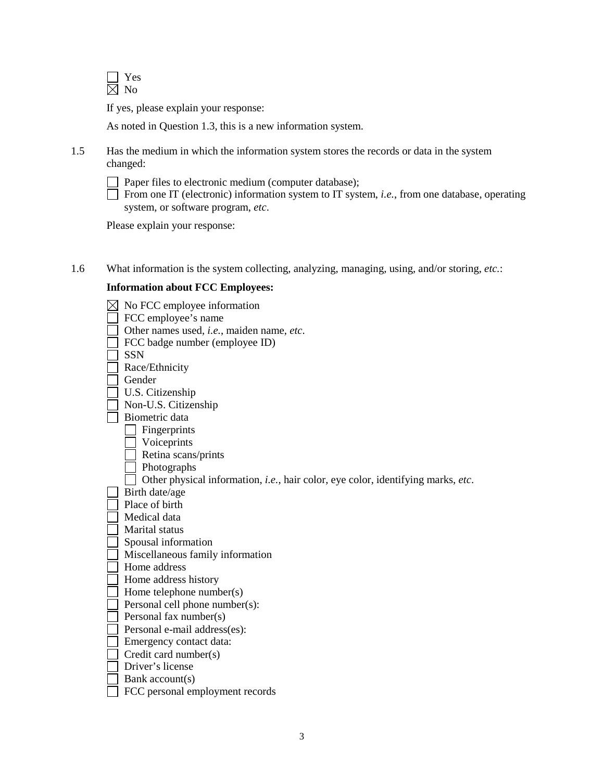

If yes, please explain your response:

As noted in Question 1.3, this is a new information system.

- 1.5 Has the medium in which the information system stores the records or data in the system changed:
	-

Paper files to electronic medium (computer database);

From one IT (electronic) information system to IT system, *i.e.*, from one database, operating system, or software program, *etc*.

Please explain your response:

1.6 What information is the system collecting, analyzing, managing, using, and/or storing, *etc.*:

# **Information about FCC Employees:**

|                                                                                  | No FCC employee information               |  |
|----------------------------------------------------------------------------------|-------------------------------------------|--|
|                                                                                  | FCC employee's name                       |  |
|                                                                                  | Other names used, i.e., maiden name, etc. |  |
|                                                                                  | FCC badge number (employee ID)            |  |
|                                                                                  | <b>SSN</b>                                |  |
|                                                                                  | Race/Ethnicity                            |  |
|                                                                                  | Gender                                    |  |
|                                                                                  | U.S. Citizenship                          |  |
|                                                                                  | Non-U.S. Citizenship                      |  |
|                                                                                  | Biometric data                            |  |
|                                                                                  | Fingerprints                              |  |
|                                                                                  | Voiceprints                               |  |
|                                                                                  | Retina scans/prints                       |  |
|                                                                                  | Photographs                               |  |
| Other physical information, i.e., hair color, eye color, identifying marks, etc. |                                           |  |
|                                                                                  | Birth date/age                            |  |
|                                                                                  | Place of birth                            |  |
|                                                                                  | Medical data                              |  |
|                                                                                  | Marital status                            |  |
|                                                                                  | Spousal information                       |  |
|                                                                                  | Miscellaneous family information          |  |
|                                                                                  | Home address                              |  |
|                                                                                  | Home address history                      |  |
|                                                                                  | Home telephone number(s)                  |  |
|                                                                                  | Personal cell phone number(s):            |  |
|                                                                                  | Personal fax number(s)                    |  |
|                                                                                  | Personal e-mail address(es):              |  |
|                                                                                  | Emergency contact data:                   |  |
|                                                                                  | Credit card number(s)                     |  |
|                                                                                  | Driver's license                          |  |
|                                                                                  | Bank account(s)                           |  |
|                                                                                  | FCC personal employment records           |  |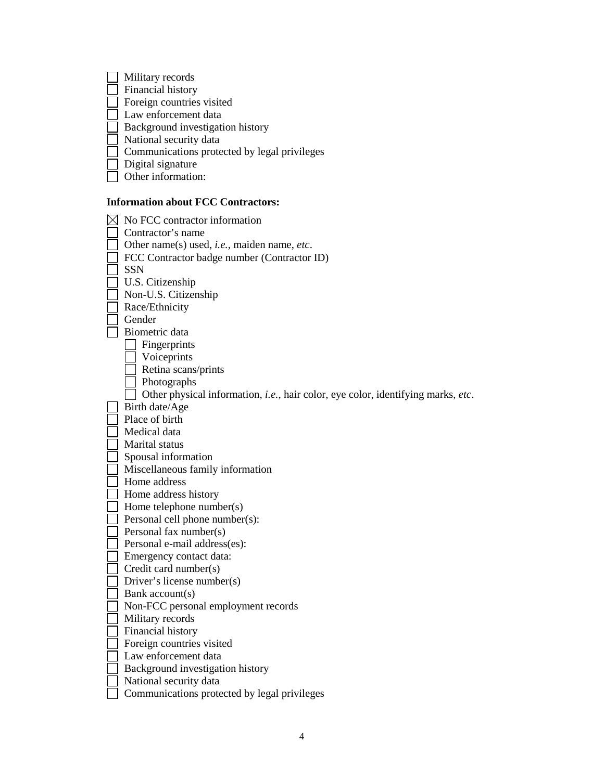|  | Military records                                                                 |
|--|----------------------------------------------------------------------------------|
|  | Financial history                                                                |
|  | Foreign countries visited                                                        |
|  | Law enforcement data                                                             |
|  | Background investigation history                                                 |
|  | National security data                                                           |
|  | Communications protected by legal privileges                                     |
|  | Digital signature                                                                |
|  | Other information:                                                               |
|  |                                                                                  |
|  | <b>Information about FCC Contractors:</b>                                        |
|  | No FCC contractor information                                                    |
|  | Contractor's name                                                                |
|  | Other name(s) used, <i>i.e.</i> , maiden name, <i>etc</i> .                      |
|  | FCC Contractor badge number (Contractor ID)                                      |
|  | <b>SSN</b>                                                                       |
|  | U.S. Citizenship                                                                 |
|  | Non-U.S. Citizenship                                                             |
|  | Race/Ethnicity                                                                   |
|  | Gender                                                                           |
|  | Biometric data                                                                   |
|  | Fingerprints                                                                     |
|  | Voiceprints                                                                      |
|  | Retina scans/prints                                                              |
|  | Photographs                                                                      |
|  | Other physical information, i.e., hair color, eye color, identifying marks, etc. |
|  | Birth date/Age                                                                   |
|  | Place of birth                                                                   |
|  | Medical data                                                                     |
|  | Marital status                                                                   |
|  | Spousal information                                                              |
|  | Miscellaneous family information                                                 |
|  | Home address                                                                     |
|  | Home address history                                                             |
|  | Home telephone number(s)                                                         |
|  | Personal cell phone number(s):                                                   |
|  | Personal fax number(s)                                                           |
|  | Personal e-mail address(es):                                                     |
|  | Emergency contact data:                                                          |
|  | Credit card number(s)                                                            |
|  | Driver's license number(s)                                                       |
|  | Bank account(s)                                                                  |
|  | Non-FCC personal employment records                                              |
|  | Military records                                                                 |
|  | Financial history                                                                |
|  | Foreign countries visited                                                        |
|  | Law enforcement data                                                             |
|  | Background investigation history                                                 |
|  | National security data                                                           |
|  | Communications protected by legal privileges                                     |
|  |                                                                                  |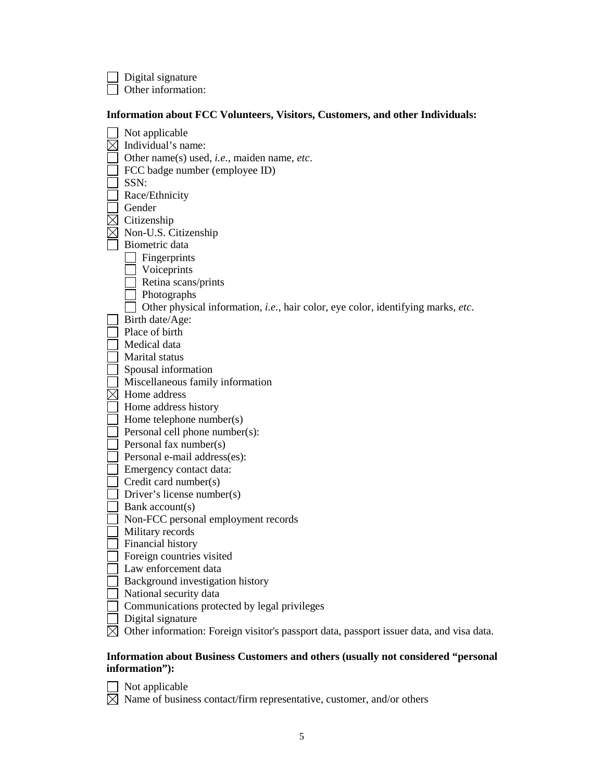$\Box$  Digital signature  $\Box$  Other information:

#### **Information about FCC Volunteers, Visitors, Customers, and other Individuals:**

Not applicable  $\boxtimes$  Individual's name: Other name(s) used, *i.e.*, maiden name, *etc*.  $\Box$  FCC badge number (employee ID)  $\Box$  SSN: Race/Ethnicity Gender  $\boxtimes$  Citizenship  $\boxtimes$  Non-U.S. Citizenship Biometric data  $\Box$  Fingerprints **Voiceprints**  $\Box$  Retina scans/prints **Photographs** □ Other physical information, *i.e.*, hair color, eye color, identifying marks, *etc*. Birth date/Age: Place of birth Medical data Marital status  $\overline{\phantom{a}}$  Spousal information Miscellaneous family information  $\boxtimes$  Home address Home address history  $\Box$  Home telephone number(s)  $\Box$  Personal cell phone number(s):  $\Box$  Personal fax number(s) Personal e-mail address(es): Emergency contact data: Credit card number(s)  $\Box$  Driver's license number(s)  $\Box$  Bank account(s) Non-FCC personal employment records **Military records** Financial history Foreign countries visited Law enforcement data  $\Box$  Background investigation history National security data Communications protected by legal privileges  $\Box$  Digital signature  $\boxtimes$  Other information: Foreign visitor's passport data, passport issuer data, and visa data.

### **Information about Business Customers and others (usually not considered "personal information"):**

Not applicable  $\boxtimes$  Name of business contact/firm representative, customer, and/or others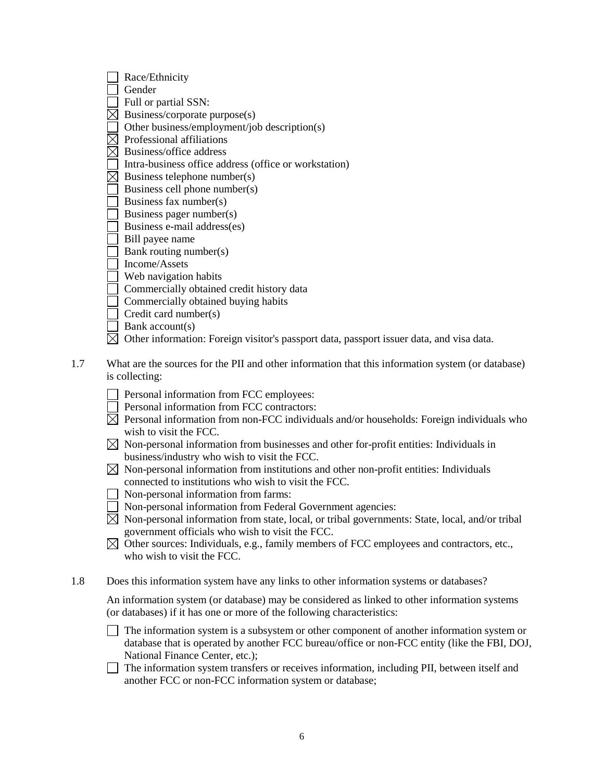| Race/Ethnicity                                                                           |
|------------------------------------------------------------------------------------------|
| Gender                                                                                   |
| Full or partial SSN:                                                                     |
| Business/corporate purpose(s)                                                            |
| Other business/employment/job description(s)                                             |
| Professional affiliations                                                                |
| Business/office address                                                                  |
| Intra-business office address (office or workstation)                                    |
| Business telephone number(s)                                                             |
| Business cell phone number(s)                                                            |
| Business fax number(s)                                                                   |
| Business pager number(s)                                                                 |
| Business e-mail address(es)                                                              |
| Bill payee name                                                                          |
| Bank routing number(s)                                                                   |
| Income/Assets                                                                            |
| Web navigation habits                                                                    |
| Commercially obtained credit history data                                                |
| Commercially obtained buying habits                                                      |
| Credit card number(s)                                                                    |
| Bank account(s)                                                                          |
| Other information: Foreign visitor's passport data, passport issuer data, and visa data. |

- 1.7 What are the sources for the PII and other information that this information system (or database) is collecting:
	- Personal information from FCC employees:
	- Personal information from FCC contractors:
	- $\boxtimes$  Personal information from non-FCC individuals and/or households: Foreign individuals who wish to visit the FCC.
	- $\boxtimes$  Non-personal information from businesses and other for-profit entities: Individuals in business/industry who wish to visit the FCC.
	- $\boxtimes$  Non-personal information from institutions and other non-profit entities: Individuals connected to institutions who wish to visit the FCC.
	- $\Box$  Non-personal information from farms:
	- Non-personal information from Federal Government agencies:
	- $\boxtimes$  Non-personal information from state, local, or tribal governments: State, local, and/or tribal government officials who wish to visit the FCC.
	- $\boxtimes$  Other sources: Individuals, e.g., family members of FCC employees and contractors, etc., who wish to visit the FCC.
- 1.8 Does this information system have any links to other information systems or databases?
	- An information system (or database) may be considered as linked to other information systems (or databases) if it has one or more of the following characteristics:
	- $\Box$  The information system is a subsystem or other component of another information system or database that is operated by another FCC bureau/office or non-FCC entity (like the FBI, DOJ, National Finance Center, etc.);
	- $\Box$  The information system transfers or receives information, including PII, between itself and another FCC or non-FCC information system or database;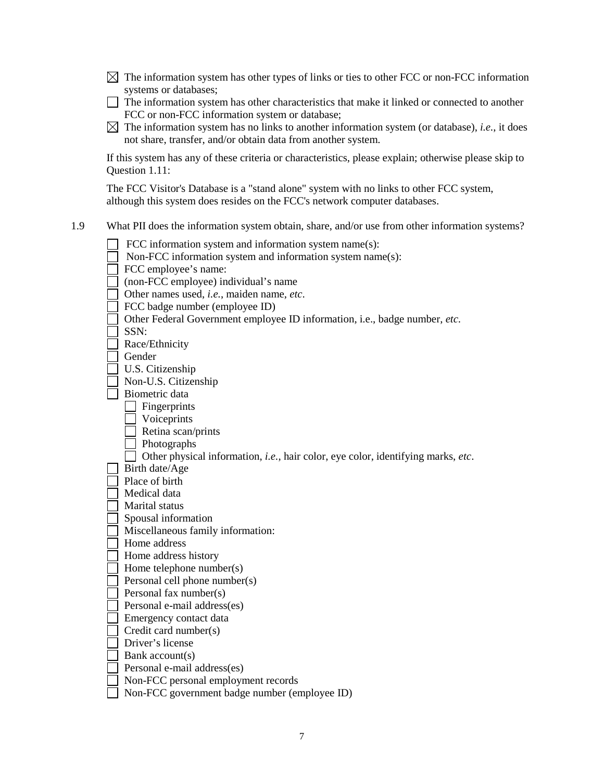- $\boxtimes$  The information system has other types of links or ties to other FCC or non-FCC information systems or databases;
- The information system has other characteristics that make it linked or connected to another FCC or non-FCC information system or database;
- $\boxtimes$  The information system has no links to another information system (or database), *i.e.*, it does not share, transfer, and/or obtain data from another system.

If this system has any of these criteria or characteristics, please explain; otherwise please skip to Question 1.11:

The FCC Visitor's Database is a "stand alone" system with no links to other FCC system, although this system does resides on the FCC's network computer databases.

1.9 What PII does the information system obtain, share, and/or use from other information systems?

| FCC information system and information system name(s):                                   |
|------------------------------------------------------------------------------------------|
| Non-FCC information system and information system name(s):                               |
| FCC employee's name:                                                                     |
| (non-FCC employee) individual's name                                                     |
| Other names used, i.e., maiden name, etc.                                                |
| FCC badge number (employee ID)                                                           |
| Other Federal Government employee ID information, i.e., badge number, etc.               |
| SSN:                                                                                     |
| Race/Ethnicity                                                                           |
| Gender                                                                                   |
| U.S. Citizenship                                                                         |
| Non-U.S. Citizenship                                                                     |
| Biometric data                                                                           |
| Fingerprints                                                                             |
| Voiceprints                                                                              |
| Retina scan/prints                                                                       |
| Photographs                                                                              |
| Other physical information, <i>i.e.</i> , hair color, eye color, identifying marks, etc. |
| Birth date/Age                                                                           |
| Place of birth                                                                           |
| Medical data                                                                             |
| Marital status                                                                           |
| Spousal information                                                                      |
| Miscellaneous family information:                                                        |
| Home address                                                                             |
| Home address history                                                                     |
| Home telephone number(s)                                                                 |
| Personal cell phone number(s)                                                            |
| Personal fax number(s)                                                                   |
| Personal e-mail address(es)                                                              |
| Emergency contact data                                                                   |
| Credit card number(s)                                                                    |
| Driver's license                                                                         |
| Bank account(s)                                                                          |
| Personal e-mail address(es)                                                              |
| Non-FCC personal employment records                                                      |
| Non-FCC government badge number (employee ID)                                            |
|                                                                                          |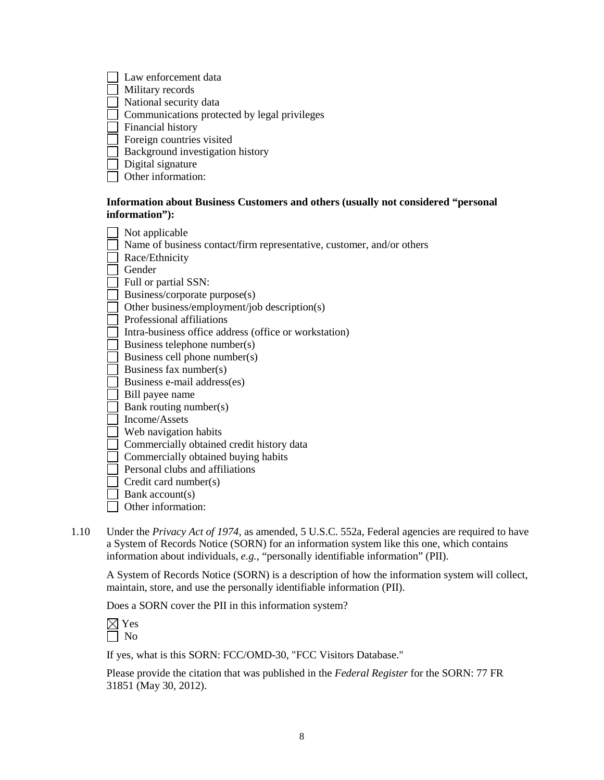| Law enforcement data                         |
|----------------------------------------------|
| Military records                             |
| National security data                       |
| Communications protected by legal privileges |
| Financial history                            |
| Foreign countries visited                    |
| Background investigation history             |
| Digital signature                            |
|                                              |

Other information:

# **Information about Business Customers and others (usually not considered "personal information"):**

| Not applicable                                                        |
|-----------------------------------------------------------------------|
| Name of business contact/firm representative, customer, and/or others |
| Race/Ethnicity                                                        |
| Gender                                                                |
| Full or partial SSN:                                                  |
| Business/corporate purpose(s)                                         |
| Other business/employment/job description(s)                          |
| Professional affiliations                                             |
| Intra-business office address (office or workstation)                 |
| Business telephone number(s)                                          |
| Business cell phone number(s)                                         |
| Business fax number(s)                                                |
| Business e-mail address(es)                                           |
| Bill payee name                                                       |
| Bank routing number(s)                                                |
| Income/Assets                                                         |
| Web navigation habits                                                 |
| Commercially obtained credit history data                             |
| Commercially obtained buying habits                                   |
| Personal clubs and affiliations                                       |
| Credit card number(s)                                                 |
| Bank account(s)                                                       |
| Other information:                                                    |

1.10 Under the *Privacy Act of 1974*, as amended, 5 U.S.C. 552a, Federal agencies are required to have a System of Records Notice (SORN) for an information system like this one, which contains information about individuals, *e.g.*, "personally identifiable information" (PII).

A System of Records Notice (SORN) is a description of how the information system will collect, maintain, store, and use the personally identifiable information (PII).

Does a SORN cover the PII in this information system?

If yes, what is this SORN: FCC/OMD-30, "FCC Visitors Database."

Please provide the citation that was published in the *Federal Register* for the SORN: 77 FR 31851 (May 30, 2012).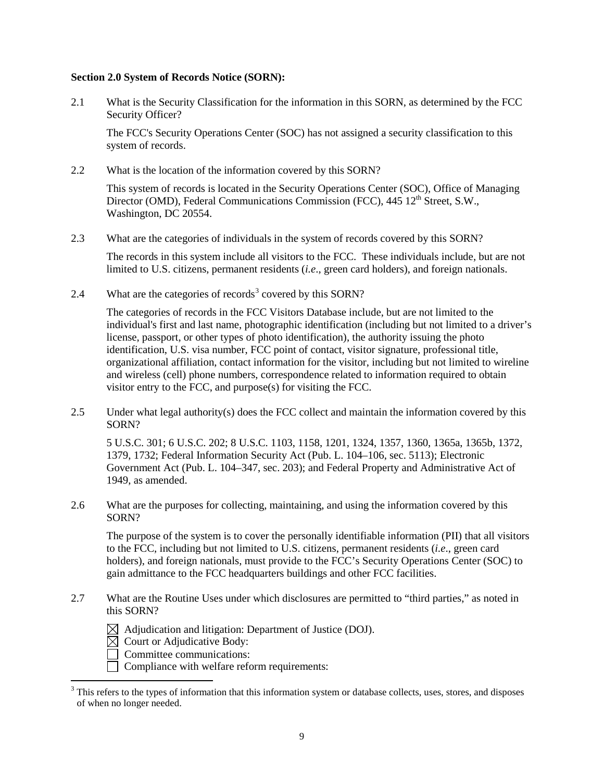#### **Section 2.0 System of Records Notice (SORN):**

2.1 What is the Security Classification for the information in this SORN, as determined by the FCC Security Officer?

The FCC's Security Operations Center (SOC) has not assigned a security classification to this system of records.

2.2 What is the location of the information covered by this SORN?

This system of records is located in the Security Operations Center (SOC), Office of Managing Director (OMD), Federal Communications Commission (FCC), 445 12<sup>th</sup> Street, S.W., Washington, DC 20554.

2.3 What are the categories of individuals in the system of records covered by this SORN?

The records in this system include all visitors to the FCC. These individuals include, but are not limited to U.S. citizens, permanent residents (*i.e*., green card holders), and foreign nationals.

2.4 What are the categories of records<sup>[3](#page-8-0)</sup> covered by this SORN?

The categories of records in the FCC Visitors Database include, but are not limited to the individual's first and last name, photographic identification (including but not limited to a driver's license, passport, or other types of photo identification), the authority issuing the photo identification, U.S. visa number, FCC point of contact, visitor signature, professional title, organizational affiliation, contact information for the visitor, including but not limited to wireline and wireless (cell) phone numbers, correspondence related to information required to obtain visitor entry to the FCC, and purpose(s) for visiting the FCC.

2.5 Under what legal authority(s) does the FCC collect and maintain the information covered by this SORN?

5 U.S.C. 301; 6 U.S.C. 202; 8 U.S.C. 1103, 1158, 1201, 1324, 1357, 1360, 1365a, 1365b, 1372, 1379, 1732; Federal Information Security Act (Pub. L. 104–106, sec. 5113); Electronic Government Act (Pub. L. 104–347, sec. 203); and Federal Property and Administrative Act of 1949, as amended.

2.6 What are the purposes for collecting, maintaining, and using the information covered by this SORN?

The purpose of the system is to cover the personally identifiable information (PII) that all visitors to the FCC, including but not limited to U.S. citizens, permanent residents (*i.e*., green card holders), and foreign nationals, must provide to the FCC's Security Operations Center (SOC) to gain admittance to the FCC headquarters buildings and other FCC facilities.

- 2.7 What are the Routine Uses under which disclosures are permitted to "third parties," as noted in this SORN?
	- $\boxtimes$  Adjudication and litigation: Department of Justice (DOJ).
	- $\overline{\boxtimes}$  Court or Adjudicative Body:
	- $\Box$  Committee communications:
	- □ Compliance with welfare reform requirements:

<span id="page-8-0"></span><sup>&</sup>lt;sup>3</sup> This refers to the types of information that this information system or database collects, uses, stores, and disposes of when no longer needed.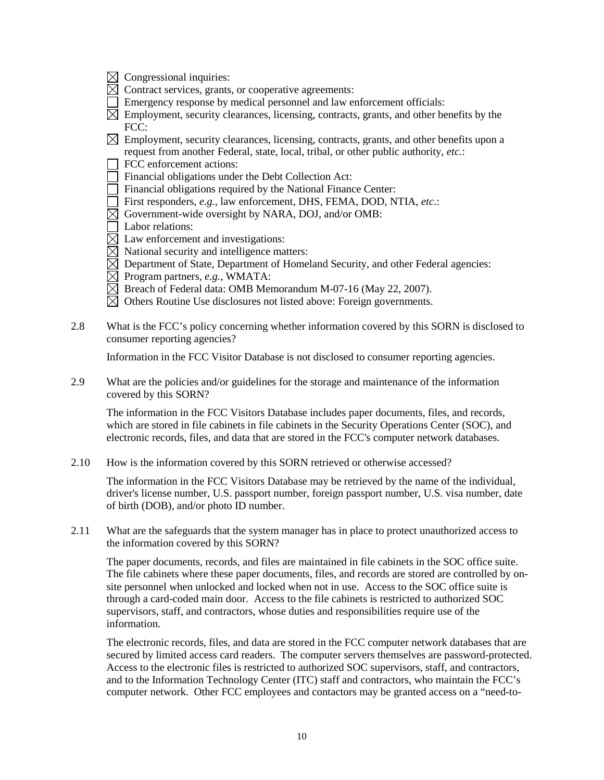- $\boxtimes$  Congressional inquiries:
- $\boxtimes$  Contract services, grants, or cooperative agreements:
- Emergency response by medical personnel and law enforcement officials:
- $\boxtimes$  Employment, security clearances, licensing, contracts, grants, and other benefits by the FCC:
- $\boxtimes$  Employment, security clearances, licensing, contracts, grants, and other benefits upon a request from another Federal, state, local, tribal, or other public authority, *etc.*:
- $\Box$  FCC enforcement actions:
- $\Box$  Financial obligations under the Debt Collection Act:
- $\Box$  Financial obligations required by the National Finance Center:
- First responders, *e.g.*, law enforcement, DHS, FEMA, DOD, NTIA, *etc*.:
- $\overline{\boxtimes}$  Government-wide oversight by NARA, DOJ, and/or OMB:
- Labor relations:
- $\boxtimes$  Law enforcement and investigations:
- $\boxtimes$  National security and intelligence matters:
- $\boxtimes$  Department of State, Department of Homeland Security, and other Federal agencies:
- $\boxtimes$  Program partners, *e.g.*, WMATA:
- $\boxtimes$  Breach of Federal data: OMB Memorandum M-07-16 (May 22, 2007).
- $\boxtimes$  Others Routine Use disclosures not listed above: Foreign governments.
- 2.8 What is the FCC's policy concerning whether information covered by this SORN is disclosed to consumer reporting agencies?

Information in the FCC Visitor Database is not disclosed to consumer reporting agencies.

2.9 What are the policies and/or guidelines for the storage and maintenance of the information covered by this SORN?

The information in the FCC Visitors Database includes paper documents, files, and records, which are stored in file cabinets in file cabinets in the Security Operations Center (SOC), and electronic records, files, and data that are stored in the FCC's computer network databases.

2.10 How is the information covered by this SORN retrieved or otherwise accessed?

The information in the FCC Visitors Database may be retrieved by the name of the individual, driver's license number, U.S. passport number, foreign passport number, U.S. visa number, date of birth (DOB), and/or photo ID number.

2.11 What are the safeguards that the system manager has in place to protect unauthorized access to the information covered by this SORN?

The paper documents, records, and files are maintained in file cabinets in the SOC office suite. The file cabinets where these paper documents, files, and records are stored are controlled by onsite personnel when unlocked and locked when not in use. Access to the SOC office suite is through a card-coded main door. Access to the file cabinets is restricted to authorized SOC supervisors, staff, and contractors, whose duties and responsibilities require use of the information.

The electronic records, files, and data are stored in the FCC computer network databases that are secured by limited access card readers. The computer servers themselves are password-protected. Access to the electronic files is restricted to authorized SOC supervisors, staff, and contractors, and to the Information Technology Center (ITC) staff and contractors, who maintain the FCC's computer network. Other FCC employees and contactors may be granted access on a "need-to-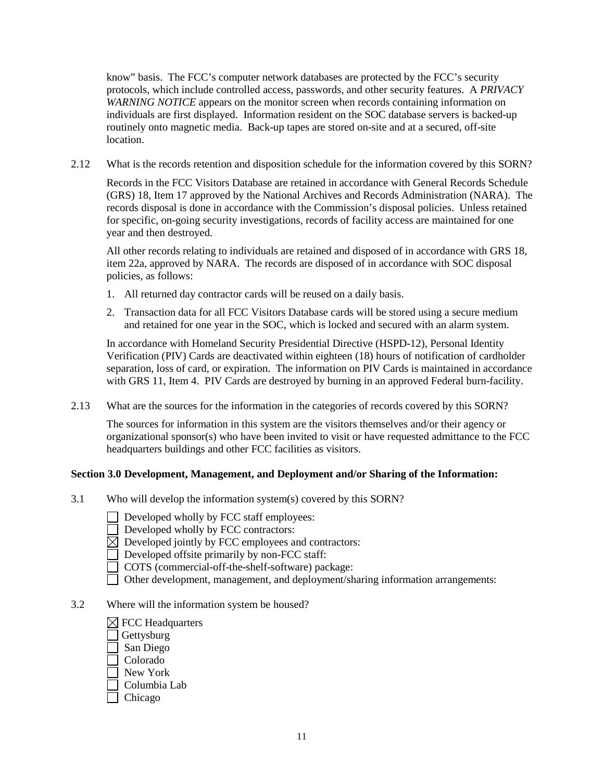know" basis. The FCC's computer network databases are protected by the FCC's security protocols, which include controlled access, passwords, and other security features. A *PRIVACY WARNING NOTICE* appears on the monitor screen when records containing information on individuals are first displayed. Information resident on the SOC database servers is backed-up routinely onto magnetic media. Back-up tapes are stored on-site and at a secured, off-site location.

2.12 What is the records retention and disposition schedule for the information covered by this SORN?

Records in the FCC Visitors Database are retained in accordance with General Records Schedule (GRS) 18, Item 17 approved by the National Archives and Records Administration (NARA). The records disposal is done in accordance with the Commission's disposal policies. Unless retained for specific, on-going security investigations, records of facility access are maintained for one year and then destroyed.

All other records relating to individuals are retained and disposed of in accordance with GRS 18, item 22a, approved by NARA. The records are disposed of in accordance with SOC disposal policies, as follows:

- 1. All returned day contractor cards will be reused on a daily basis.
- 2. Transaction data for all FCC Visitors Database cards will be stored using a secure medium and retained for one year in the SOC, which is locked and secured with an alarm system.

In accordance with Homeland Security Presidential Directive (HSPD-12), Personal Identity Verification (PIV) Cards are deactivated within eighteen (18) hours of notification of cardholder separation, loss of card, or expiration. The information on PIV Cards is maintained in accordance with GRS 11, Item 4. PIV Cards are destroyed by burning in an approved Federal burn-facility.

2.13 What are the sources for the information in the categories of records covered by this SORN?

The sources for information in this system are the visitors themselves and/or their agency or organizational sponsor(s) who have been invited to visit or have requested admittance to the FCC headquarters buildings and other FCC facilities as visitors.

# **Section 3.0 Development, Management, and Deployment and/or Sharing of the Information:**

- 3.1 Who will develop the information system(s) covered by this SORN?
	- $\Box$  Developed wholly by FCC staff employees:
	- $\Box$  Developed wholly by FCC contractors:
	- $\boxtimes$  Developed jointly by FCC employees and contractors:
	- Developed offsite primarily by non-FCC staff:
	- COTS (commercial-off-the-shelf-software) package:
	- Other development, management, and deployment/sharing information arrangements:
- 3.2 Where will the information system be housed?
	- $\boxtimes$  FCC Headquarters Gettysburg San Diego Colorado
	-
	- New York
	- Columbia Lab
	- Chicago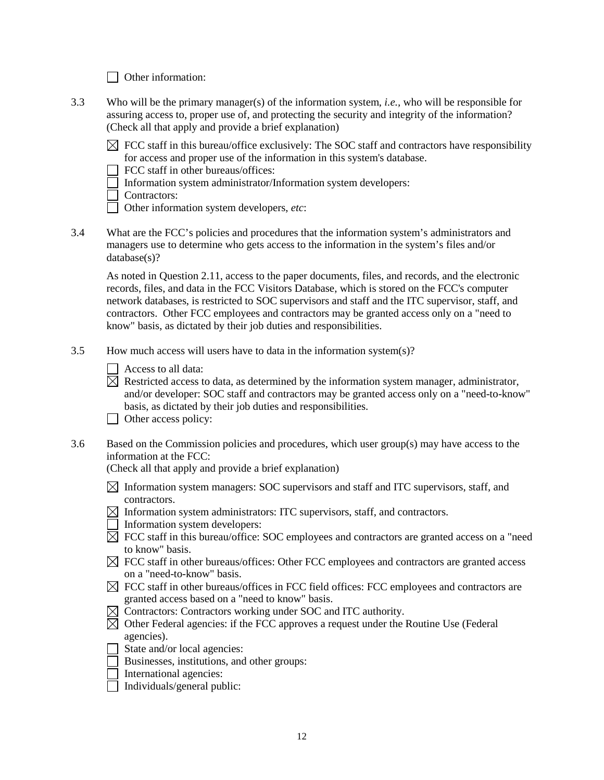Other information:

- 3.3 Who will be the primary manager(s) of the information system, *i.e.,* who will be responsible for assuring access to, proper use of, and protecting the security and integrity of the information? (Check all that apply and provide a brief explanation)
	- $\boxtimes$  FCC staff in this bureau/office exclusively: The SOC staff and contractors have responsibility for access and proper use of the information in this system's database.
	- $\Box$  FCC staff in other bureaus/offices:
	- Information system administrator/Information system developers:
	- □ Contractors:
	- Other information system developers, *etc*:
- 3.4 What are the FCC's policies and procedures that the information system's administrators and managers use to determine who gets access to the information in the system's files and/or database(s)?

As noted in Question 2.11, access to the paper documents, files, and records, and the electronic records, files, and data in the FCC Visitors Database, which is stored on the FCC's computer network databases, is restricted to SOC supervisors and staff and the ITC supervisor, staff, and contractors. Other FCC employees and contractors may be granted access only on a "need to know" basis, as dictated by their job duties and responsibilities.

- 3.5 How much access will users have to data in the information system(s)?
	- $\Box$  Access to all data:
	- $\boxtimes$  Restricted access to data, as determined by the information system manager, administrator, and/or developer: SOC staff and contractors may be granted access only on a "need-to-know" basis, as dictated by their job duties and responsibilities.
	- Other access policy:
- 3.6 Based on the Commission policies and procedures, which user group(s) may have access to the information at the FCC:

(Check all that apply and provide a brief explanation)

- $\boxtimes$  Information system managers: SOC supervisors and staff and ITC supervisors, staff, and contractors.
- $\boxtimes$  Information system administrators: ITC supervisors, staff, and contractors.
- Information system developers:
- $\boxtimes$  FCC staff in this bureau/office: SOC employees and contractors are granted access on a "need" to know" basis.
- $\boxtimes$  FCC staff in other bureaus/offices: Other FCC employees and contractors are granted access on a "need-to-know" basis.
- $\boxtimes$  FCC staff in other bureaus/offices in FCC field offices: FCC employees and contractors are granted access based on a "need to know" basis.
- $\boxtimes$  Contractors: Contractors working under SOC and ITC authority.
- $\boxtimes$  Other Federal agencies: if the FCC approves a request under the Routine Use (Federal agencies).
- $\Box$  State and/or local agencies:
- Businesses, institutions, and other groups:
- International agencies:
- $\Box$  Individuals/general public: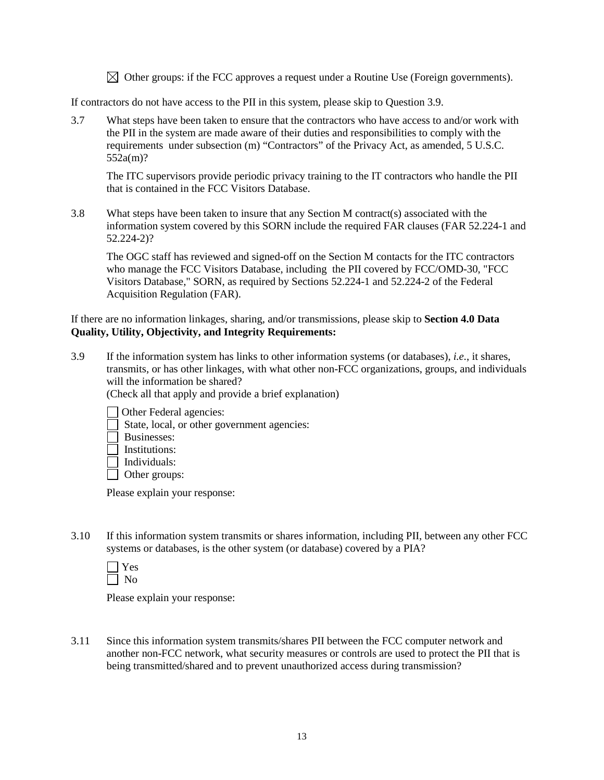$\boxtimes$  Other groups: if the FCC approves a request under a Routine Use (Foreign governments).

If contractors do not have access to the PII in this system, please skip to Question 3.9.

3.7 What steps have been taken to ensure that the contractors who have access to and/or work with the PII in the system are made aware of their duties and responsibilities to comply with the requirements under subsection (m) "Contractors" of the Privacy Act, as amended, 5 U.S.C. 552a(m)?

The ITC supervisors provide periodic privacy training to the IT contractors who handle the PII that is contained in the FCC Visitors Database.

3.8 What steps have been taken to insure that any Section M contract(s) associated with the information system covered by this SORN include the required FAR clauses (FAR 52.224-1 and 52.224-2)?

The OGC staff has reviewed and signed-off on the Section M contacts for the ITC contractors who manage the FCC Visitors Database, including the PII covered by FCC/OMD-30, "FCC Visitors Database," SORN, as required by Sections 52.224-1 and 52.224-2 of the Federal Acquisition Regulation (FAR).

### If there are no information linkages, sharing, and/or transmissions, please skip to **Section 4.0 Data Quality, Utility, Objectivity, and Integrity Requirements:**

3.9 If the information system has links to other information systems (or databases), *i.e.*, it shares, transmits, or has other linkages, with what other non-FCC organizations, groups, and individuals will the information be shared?

(Check all that apply and provide a brief explanation)

Other Federal agencies:

- State, local, or other government agencies:
- Businesses:
- $\Box$  Institutions:
- $\Box$  Individuals:
- $\Box$  Other groups:

Please explain your response:

3.10 If this information system transmits or shares information, including PII, between any other FCC systems or databases, is the other system (or database) covered by a PIA?

Please explain your response:

3.11 Since this information system transmits/shares PII between the FCC computer network and another non-FCC network, what security measures or controls are used to protect the PII that is being transmitted/shared and to prevent unauthorized access during transmission?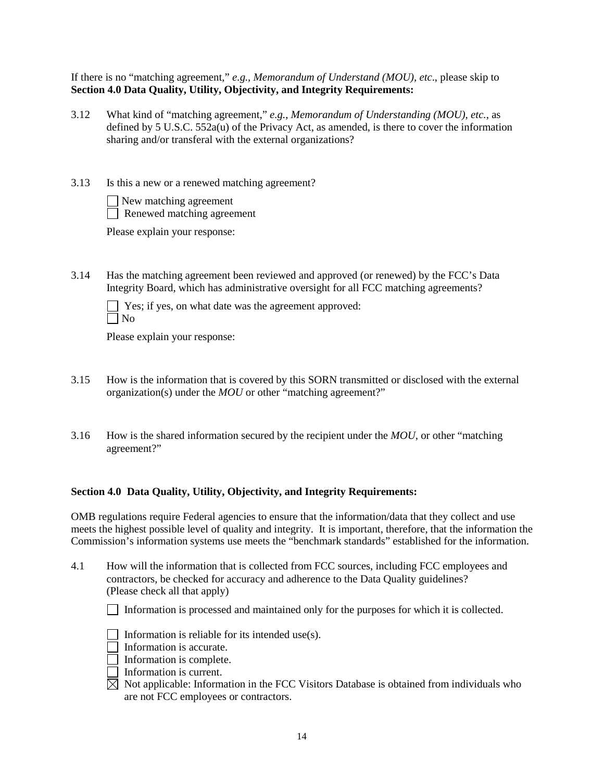If there is no "matching agreement," *e.g., Memorandum of Understand (MOU), etc*., please skip to **Section 4.0 Data Quality, Utility, Objectivity, and Integrity Requirements:**

- 3.12 What kind of "matching agreement," *e.g.*, *Memorandum of Understanding (MOU)*, *etc.*, as defined by 5 U.S.C. 552a(u) of the Privacy Act, as amended, is there to cover the information sharing and/or transferal with the external organizations?
- 3.13 Is this a new or a renewed matching agreement?

| New matching agreement     |
|----------------------------|
| Renewed matching agreement |

Please explain your response:

3.14 Has the matching agreement been reviewed and approved (or renewed) by the FCC's Data Integrity Board, which has administrative oversight for all FCC matching agreements?

 $\Box$  Yes; if yes, on what date was the agreement approved:  $\Box$  No

Please explain your response:

- 3.15 How is the information that is covered by this SORN transmitted or disclosed with the external organization(s) under the *MOU* or other "matching agreement?"
- 3.16 How is the shared information secured by the recipient under the *MOU*, or other "matching agreement?"

# **Section 4.0 Data Quality, Utility, Objectivity, and Integrity Requirements:**

OMB regulations require Federal agencies to ensure that the information/data that they collect and use meets the highest possible level of quality and integrity. It is important, therefore, that the information the Commission's information systems use meets the "benchmark standards" established for the information.

4.1 How will the information that is collected from FCC sources, including FCC employees and contractors, be checked for accuracy and adherence to the Data Quality guidelines? (Please check all that apply)

Information is processed and maintained only for the purposes for which it is collected.

- Information is reliable for its intended use(s).
- Information is accurate.
- $\Box$  Information is complete.
- Information is current.
- $\boxtimes$  Not applicable: Information in the FCC Visitors Database is obtained from individuals who are not FCC employees or contractors.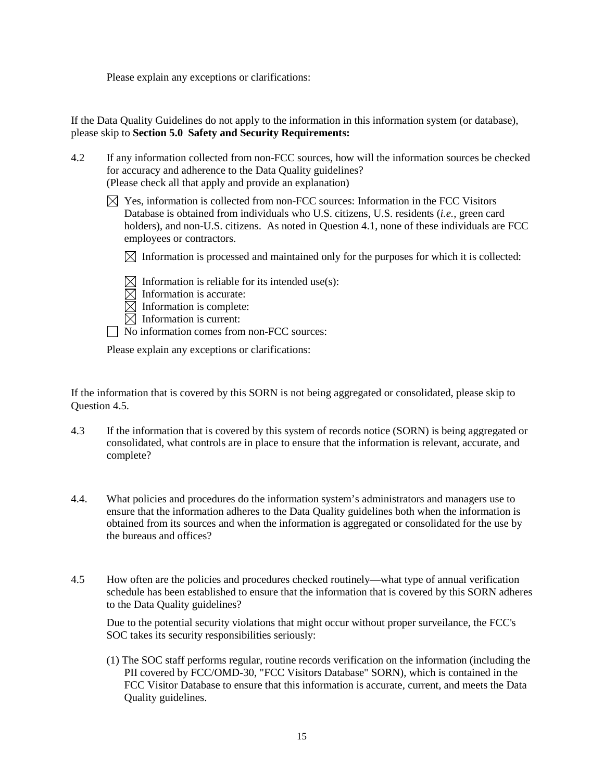Please explain any exceptions or clarifications:

If the Data Quality Guidelines do not apply to the information in this information system (or database), please skip to **Section 5.0 Safety and Security Requirements:**

- 4.2 If any information collected from non-FCC sources, how will the information sources be checked for accuracy and adherence to the Data Quality guidelines? (Please check all that apply and provide an explanation)
	- $\boxtimes$  Yes, information is collected from non-FCC sources: Information in the FCC Visitors Database is obtained from individuals who U.S. citizens, U.S. residents (*i.e.*, green card holders), and non-U.S. citizens. As noted in Question 4.1, none of these individuals are FCC employees or contractors.

 $\boxtimes$  Information is processed and maintained only for the purposes for which it is collected:

 $\boxtimes$  Information is reliable for its intended use(s):

- $\boxtimes$  Information is accurate:
- $\boxtimes$  Information is complete:

 $\boxtimes$  Information is current:

No information comes from non-FCC sources:

Please explain any exceptions or clarifications:

If the information that is covered by this SORN is not being aggregated or consolidated, please skip to Question 4.5.

- 4.3 If the information that is covered by this system of records notice (SORN) is being aggregated or consolidated, what controls are in place to ensure that the information is relevant, accurate, and complete?
- 4.4. What policies and procedures do the information system's administrators and managers use to ensure that the information adheres to the Data Quality guidelines both when the information is obtained from its sources and when the information is aggregated or consolidated for the use by the bureaus and offices?
- 4.5 How often are the policies and procedures checked routinely—what type of annual verification schedule has been established to ensure that the information that is covered by this SORN adheres to the Data Quality guidelines?

Due to the potential security violations that might occur without proper surveilance, the FCC's SOC takes its security responsibilities seriously:

(1) The SOC staff performs regular, routine records verification on the information (including the PII covered by FCC/OMD-30, "FCC Visitors Database" SORN), which is contained in the FCC Visitor Database to ensure that this information is accurate, current, and meets the Data Quality guidelines.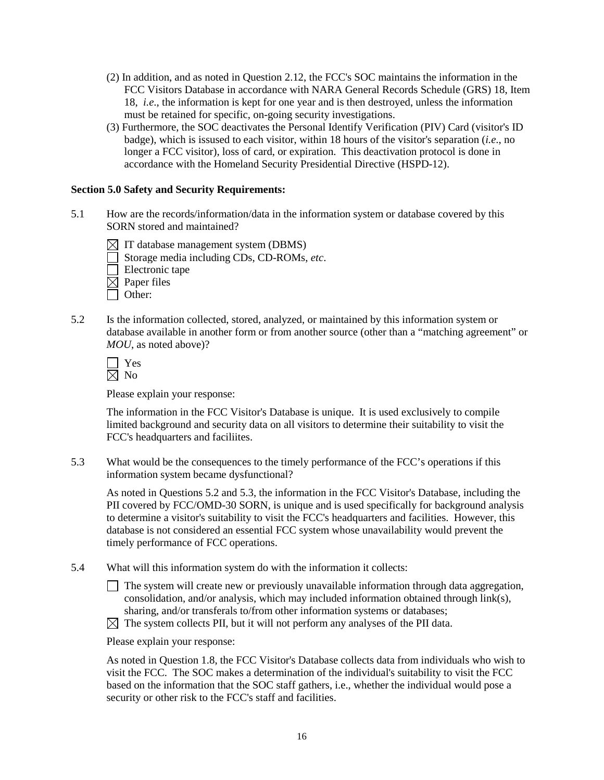- (2) In addition, and as noted in Question 2.12, the FCC's SOC maintains the information in the FCC Visitors Database in accordance with NARA General Records Schedule (GRS) 18, Item 18, *i.e*., the information is kept for one year and is then destroyed, unless the information must be retained for specific, on-going security investigations.
- (3) Furthermore, the SOC deactivates the Personal Identify Verification (PIV) Card (visitor's ID badge), which is issused to each visitor, within 18 hours of the visitor's separation (*i.e.*, no longer a FCC visitor), loss of card, or expiration. This deactivation protocol is done in accordance with the Homeland Security Presidential Directive (HSPD-12).

#### **Section 5.0 Safety and Security Requirements:**

- 5.1 How are the records/information/data in the information system or database covered by this SORN stored and maintained?
	- $\boxtimes$  IT database management system (DBMS)
	- Storage media including CDs, CD-ROMs, *etc*.

 $\Box$  Electronic tape

 $\boxtimes$  Paper files

- □ Other:
- 5.2 Is the information collected, stored, analyzed, or maintained by this information system or database available in another form or from another source (other than a "matching agreement" or *MOU*, as noted above)?

**N** Yes  $\boxtimes$  No

Please explain your response:

The information in the FCC Visitor's Database is unique. It is used exclusively to compile limited background and security data on all visitors to determine their suitability to visit the FCC's headquarters and faciliites.

5.3 What would be the consequences to the timely performance of the FCC's operations if this information system became dysfunctional?

As noted in Questions 5.2 and 5.3, the information in the FCC Visitor's Database, including the PII covered by FCC/OMD-30 SORN, is unique and is used specifically for background analysis to determine a visitor's suitability to visit the FCC's headquarters and facilities. However, this database is not considered an essential FCC system whose unavailability would prevent the timely performance of FCC operations.

- 5.4 What will this information system do with the information it collects:
	- $\Box$  The system will create new or previously unavailable information through data aggregation, consolidation, and/or analysis, which may included information obtained through link(s), sharing, and/or transferals to/from other information systems or databases;
	- $\boxtimes$  The system collects PII, but it will not perform any analyses of the PII data.

Please explain your response:

As noted in Question 1.8, the FCC Visitor's Database collects data from individuals who wish to visit the FCC. The SOC makes a determination of the individual's suitability to visit the FCC based on the information that the SOC staff gathers, i.e., whether the individual would pose a security or other risk to the FCC's staff and facilities.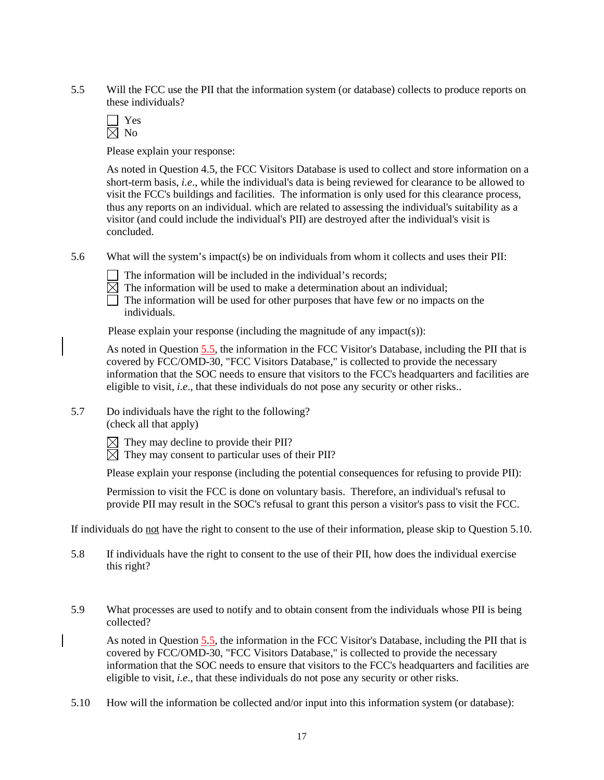5.5 Will the FCC use the PII that the information system (or database) collects to produce reports on these individuals?

Yes  $\overline{\boxtimes}$  No

Please explain your response:

As noted in Question 4.5, the FCC Visitors Database is used to collect and store information on a short-term basis, *i.e*., while the individual's data is being reviewed for clearance to be allowed to visit the FCC's buildings and facilities. The information is only used for this clearance process, thus any reports on an individual. which are related to assessing the individual's suitability as a visitor (and could include the individual's PII) are destroyed after the individual's visit is concluded.

- 5.6 What will the system's impact(s) be on individuals from whom it collects and uses their PII:
	- $\Box$  The information will be included in the individual's records;
	- $\boxtimes$  The information will be used to make a determination about an individual;

 $\Box$  The information will be used for other purposes that have few or no impacts on the individuals.

Please explain your response (including the magnitude of any impact(s)):

As noted in Question 5.5, the information in the FCC Visitor's Database, including the PII that is covered by FCC/OMD-30, "FCC Visitors Database," is collected to provide the necessary information that the SOC needs to ensure that visitors to the FCC's headquarters and facilities are eligible to visit, *i.e*., that these individuals do not pose any security or other risks..

5.7 Do individuals have the right to the following? (check all that apply)

 $\boxtimes$  They may decline to provide their PII?

 $\boxtimes$  They may consent to particular uses of their PII?

Please explain your response (including the potential consequences for refusing to provide PII):

Permission to visit the FCC is done on voluntary basis. Therefore, an individual's refusal to provide PII may result in the SOC's refusal to grant this person a visitor's pass to visit the FCC.

If individuals do not have the right to consent to the use of their information, please skip to Question 5.10.

- 5.8 If individuals have the right to consent to the use of their PII, how does the individual exercise this right?
- 5.9 What processes are used to notify and to obtain consent from the individuals whose PII is being collected?

As noted in Question 5.5, the information in the FCC Visitor's Database, including the PII that is covered by FCC/OMD-30, "FCC Visitors Database," is collected to provide the necessary information that the SOC needs to ensure that visitors to the FCC's headquarters and facilities are eligible to visit, *i.e*., that these individuals do not pose any security or other risks.

5.10 How will the information be collected and/or input into this information system (or database):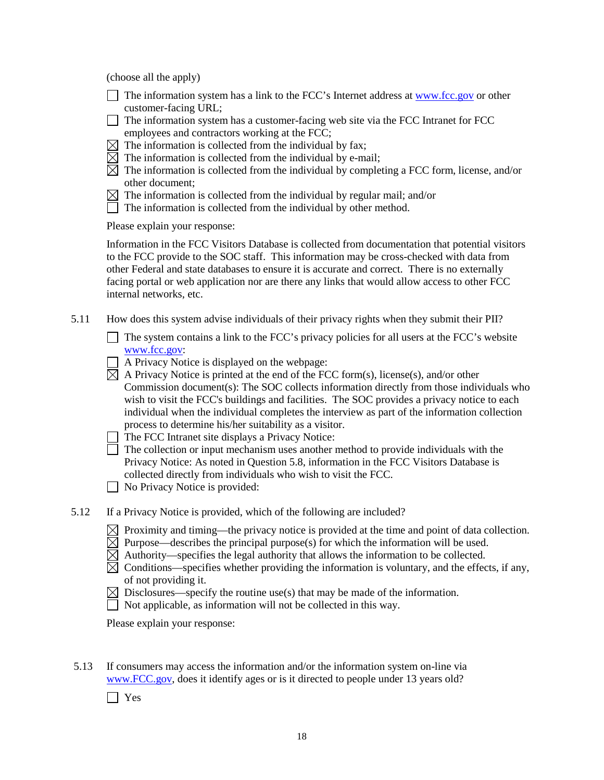(choose all the apply)

- $\Box$  The information system has a link to the FCC's Internet address at [www.fcc.gov](http://www.fcc.gov/) or other customer-facing URL;
- $\Box$  The information system has a customer-facing web site via the FCC Intranet for FCC employees and contractors working at the FCC;
- $\boxtimes$  The information is collected from the individual by fax;
- $\boxtimes$  The information is collected from the individual by e-mail;
- $\boxtimes$  The information is collected from the individual by completing a FCC form, license, and/or other document;
- $\boxtimes$  The information is collected from the individual by regular mail; and/or
- $\Box$  The information is collected from the individual by other method.

Please explain your response:

Information in the FCC Visitors Database is collected from documentation that potential visitors to the FCC provide to the SOC staff. This information may be cross-checked with data from other Federal and state databases to ensure it is accurate and correct. There is no externally facing portal or web application nor are there any links that would allow access to other FCC internal networks, etc.

5.11 How does this system advise individuals of their privacy rights when they submit their PII?

 $\Box$  The system contains a link to the FCC's privacy policies for all users at the FCC's website www.fcc.gov:

- $\Box$  A Privacy Notice is displayed on the webpage:
- $\boxtimes$  A Privacy Notice is printed at the end of the FCC form(s), license(s), and/or other Commission document(s): The SOC collects information directly from those individuals who wish to visit the FCC's buildings and facilities. The SOC provides a privacy notice to each individual when the individual completes the interview as part of the information collection process to determine his/her suitability as a visitor.
- $\Box$  The FCC Intranet site displays a Privacy Notice:
- $\Box$  The collection or input mechanism uses another method to provide individuals with the Privacy Notice: As noted in Question 5.8, information in the FCC Visitors Database is collected directly from individuals who wish to visit the FCC.

No Privacy Notice is provided:

- 5.12 If a Privacy Notice is provided, which of the following are included?
	- $\boxtimes$  Proximity and timing—the privacy notice is provided at the time and point of data collection.
	- $\boxtimes$  Purpose—describes the principal purpose(s) for which the information will be used.
	- $\boxtimes$  Authority—specifies the legal authority that allows the information to be collected.
	- $\boxtimes$  Conditions—specifies whether providing the information is voluntary, and the effects, if any, of not providing it.
	- $\boxtimes$  Disclosures—specify the routine use(s) that may be made of the information.
	- $\Box$  Not applicable, as information will not be collected in this way.

Please explain your response:

- 5.13 If consumers may access the information and/or the information system on-line via www.FCC.gov, does it identify ages or is it directed to people under 13 years old?
	- Yes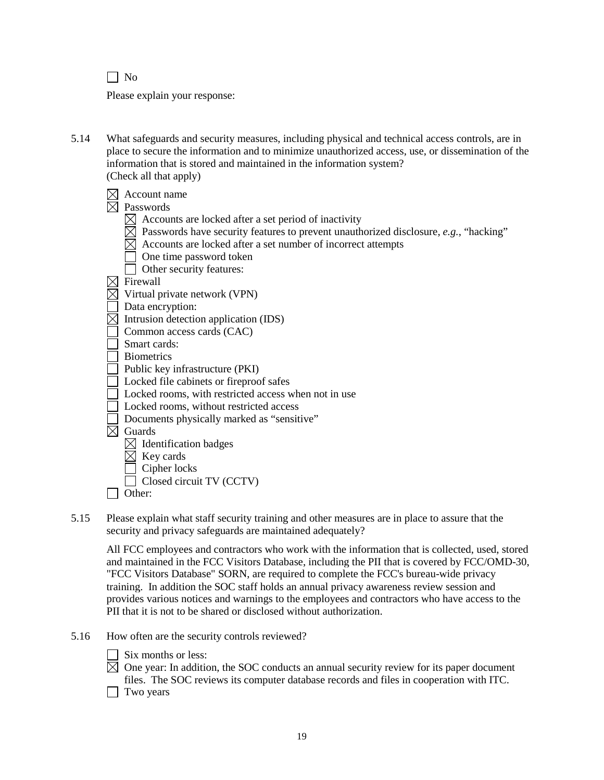$\Box$  No

Please explain your response:

5.14 What safeguards and security measures, including physical and technical access controls, are in place to secure the information and to minimize unauthorized access, use, or dissemination of the information that is stored and maintained in the information system? (Check all that apply)

| Account name<br>Passwords<br>Accounts are locked after a set period of inactivity<br>Passwords have security features to prevent unauthorized disclosure, e.g., "hacking"<br>Accounts are locked after a set number of incorrect attempts<br>One time password token<br>Other security features:<br>Firewall<br>Virtual private network (VPN) |
|-----------------------------------------------------------------------------------------------------------------------------------------------------------------------------------------------------------------------------------------------------------------------------------------------------------------------------------------------|
| Data encryption:                                                                                                                                                                                                                                                                                                                              |
| Intrusion detection application (IDS)<br>Common access cards (CAC)                                                                                                                                                                                                                                                                            |
| Smart cards:                                                                                                                                                                                                                                                                                                                                  |
| <b>Biometrics</b>                                                                                                                                                                                                                                                                                                                             |
| Public key infrastructure (PKI)                                                                                                                                                                                                                                                                                                               |
| Locked file cabinets or fireproof safes<br>Locked rooms, with restricted access when not in use                                                                                                                                                                                                                                               |
| Locked rooms, without restricted access                                                                                                                                                                                                                                                                                                       |
| Documents physically marked as "sensitive"                                                                                                                                                                                                                                                                                                    |
| Guards                                                                                                                                                                                                                                                                                                                                        |
| $\triangleleft$ Identification badges                                                                                                                                                                                                                                                                                                         |
| Key cards                                                                                                                                                                                                                                                                                                                                     |
| Cipher locks                                                                                                                                                                                                                                                                                                                                  |
| Closed circuit TV (CCTV)                                                                                                                                                                                                                                                                                                                      |
| Other:                                                                                                                                                                                                                                                                                                                                        |

5.15 Please explain what staff security training and other measures are in place to assure that the security and privacy safeguards are maintained adequately?

All FCC employees and contractors who work with the information that is collected, used, stored and maintained in the FCC Visitors Database, including the PII that is covered by FCC/OMD-30, "FCC Visitors Database" SORN, are required to complete the FCC's bureau-wide privacy training. In addition the SOC staff holds an annual privacy awareness review session and provides various notices and warnings to the employees and contractors who have access to the PII that it is not to be shared or disclosed without authorization.

- 5.16 How often are the security controls reviewed?
	- $\Box$  Six months or less:

 $\boxtimes$  One year: In addition, the SOC conducts an annual security review for its paper document files. The SOC reviews its computer database records and files in cooperation with ITC.

 $\Box$  Two years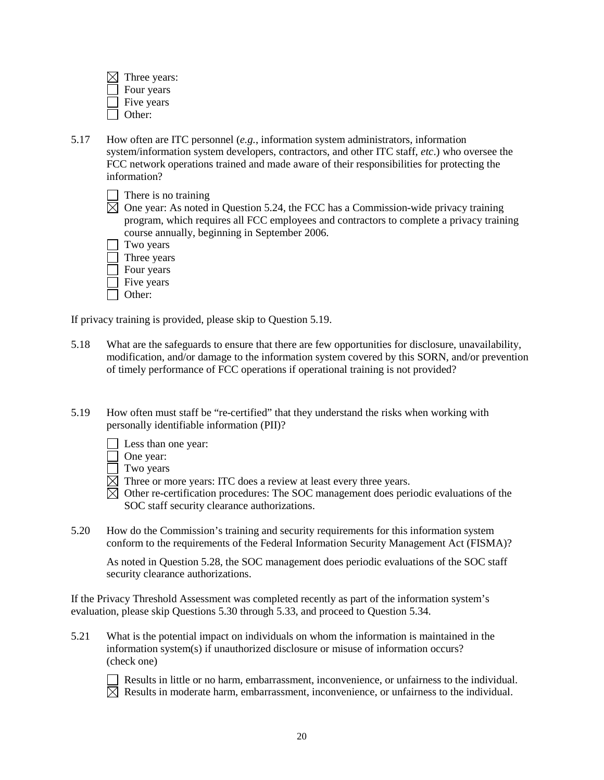| Three years: |
|--------------|
| Four years   |
| Five years   |
| Other:       |

- 5.17 How often are ITC personnel (*e.g.*, information system administrators, information system/information system developers, contractors, and other ITC staff, *etc*.) who oversee the FCC network operations trained and made aware of their responsibilities for protecting the information?
	- $\Box$  There is no training
	- $\boxtimes$  One vear: As noted in Question 5.24, the FCC has a Commission-wide privacy training program, which requires all FCC employees and contractors to complete a privacy training course annually, beginning in September 2006.
	- Two years Three years
	- $\Box$  Four years
	- $\Box$  Five years
	- Other:

If privacy training is provided, please skip to Question 5.19.

- 5.18 What are the safeguards to ensure that there are few opportunities for disclosure, unavailability, modification, and/or damage to the information system covered by this SORN, and/or prevention of timely performance of FCC operations if operational training is not provided?
- 5.19 How often must staff be "re-certified" that they understand the risks when working with personally identifiable information (PII)?
	- Less than one year:
	- □ One year:
	- $\Box$  Two years
	- $\boxtimes$  Three or more years: ITC does a review at least every three years.
	- $\overline{\boxtimes}$  Other re-certification procedures: The SOC management does periodic evaluations of the SOC staff security clearance authorizations.
- 5.20 How do the Commission's training and security requirements for this information system conform to the requirements of the Federal Information Security Management Act (FISMA)?

As noted in Question 5.28, the SOC management does periodic evaluations of the SOC staff security clearance authorizations.

If the Privacy Threshold Assessment was completed recently as part of the information system's evaluation, please skip Questions 5.30 through 5.33, and proceed to Question 5.34.

5.21 What is the potential impact on individuals on whom the information is maintained in the information system(s) if unauthorized disclosure or misuse of information occurs? (check one)



 $\Box$  Results in little or no harm, embarrassment, inconvenience, or unfairness to the individual.  $\overline{\boxtimes}$  Results in moderate harm, embarrassment, inconvenience, or unfairness to the individual.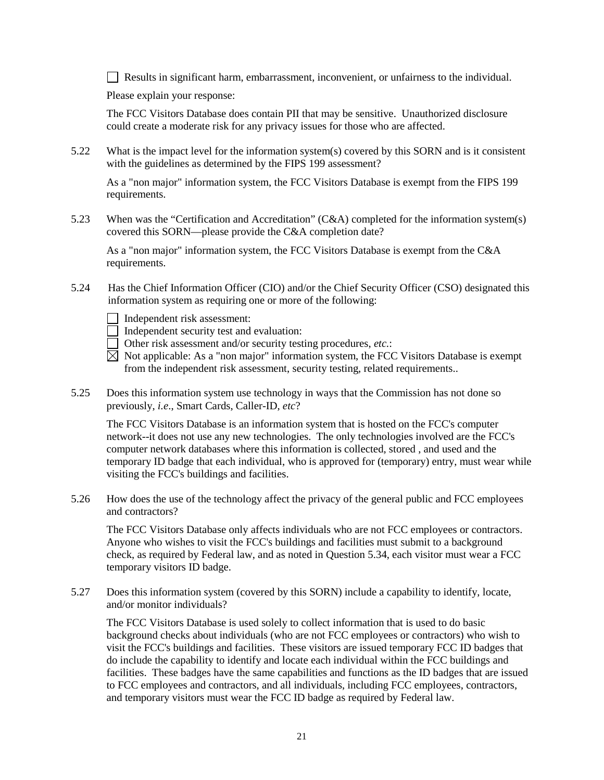$\Box$  Results in significant harm, embarrassment, inconvenient, or unfairness to the individual.

Please explain your response:

The FCC Visitors Database does contain PII that may be sensitive. Unauthorized disclosure could create a moderate risk for any privacy issues for those who are affected.

5.22 What is the impact level for the information system(s) covered by this SORN and is it consistent with the guidelines as determined by the FIPS 199 assessment?

As a "non major" information system, the FCC Visitors Database is exempt from the FIPS 199 requirements.

5.23 When was the "Certification and Accreditation" (C&A) completed for the information system(s) covered this SORN—please provide the C&A completion date?

As a "non major" information system, the FCC Visitors Database is exempt from the C&A requirements.

- 5.24 Has the Chief Information Officer (CIO) and/or the Chief Security Officer (CSO) designated this information system as requiring one or more of the following:
	- Independent risk assessment:
	- Independent security test and evaluation:
	- Other risk assessment and/or security testing procedures, *etc.*:
	- $\overline{\boxtimes}$  Not applicable: As a "non major" information system, the FCC Visitors Database is exempt from the independent risk assessment, security testing, related requirements..
- 5.25 Does this information system use technology in ways that the Commission has not done so previously, *i.e*., Smart Cards, Caller-ID, *etc*?

The FCC Visitors Database is an information system that is hosted on the FCC's computer network--it does not use any new technologies. The only technologies involved are the FCC's computer network databases where this information is collected, stored , and used and the temporary ID badge that each individual, who is approved for (temporary) entry, must wear while visiting the FCC's buildings and facilities.

5.26 How does the use of the technology affect the privacy of the general public and FCC employees and contractors?

The FCC Visitors Database only affects individuals who are not FCC employees or contractors. Anyone who wishes to visit the FCC's buildings and facilities must submit to a background check, as required by Federal law, and as noted in Question 5.34, each visitor must wear a FCC temporary visitors ID badge.

5.27 Does this information system (covered by this SORN) include a capability to identify, locate, and/or monitor individuals?

The FCC Visitors Database is used solely to collect information that is used to do basic background checks about individuals (who are not FCC employees or contractors) who wish to visit the FCC's buildings and facilities. These visitors are issued temporary FCC ID badges that do include the capability to identify and locate each individual within the FCC buildings and facilities. These badges have the same capabilities and functions as the ID badges that are issued to FCC employees and contractors, and all individuals, including FCC employees, contractors, and temporary visitors must wear the FCC ID badge as required by Federal law.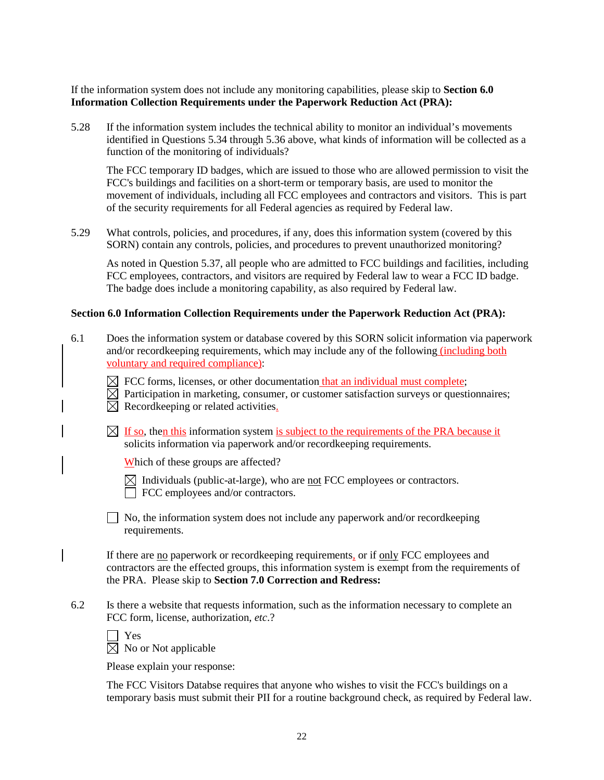If the information system does not include any monitoring capabilities, please skip to **Section 6.0 Information Collection Requirements under the Paperwork Reduction Act (PRA):**

5.28 If the information system includes the technical ability to monitor an individual's movements identified in Questions 5.34 through 5.36 above, what kinds of information will be collected as a function of the monitoring of individuals?

The FCC temporary ID badges, which are issued to those who are allowed permission to visit the FCC's buildings and facilities on a short-term or temporary basis, are used to monitor the movement of individuals, including all FCC employees and contractors and visitors. This is part of the security requirements for all Federal agencies as required by Federal law.

5.29 What controls, policies, and procedures, if any, does this information system (covered by this SORN) contain any controls, policies, and procedures to prevent unauthorized monitoring?

As noted in Question 5.37, all people who are admitted to FCC buildings and facilities, including FCC employees, contractors, and visitors are required by Federal law to wear a FCC ID badge. The badge does include a monitoring capability, as also required by Federal law.

#### **Section 6.0 Information Collection Requirements under the Paperwork Reduction Act (PRA):**

- 6.1 Does the information system or database covered by this SORN solicit information via paperwork and/or recordkeeping requirements, which may include any of the following (including both voluntary and required compliance):
	- $\boxtimes$  FCC forms, licenses, or other documentation that an individual must complete;
	- $\boxtimes$  Participation in marketing, consumer, or customer satisfaction surveys or questionnaires;

 $\boxtimes$  Recordkeeping or related activities.

 $\boxtimes$  If so, then this information system is subject to the requirements of the PRA because it solicits information via paperwork and/or recordkeeping requirements.

Which of these groups are affected?

 $\boxtimes$  Individuals (public-at-large), who are not FCC employees or contractors. FCC employees and/or contractors.

No, the information system does not include any paperwork and/or recordkeeping requirements.

If there are no paperwork or recordkeeping requirements, or if only FCC employees and contractors are the effected groups, this information system is exempt from the requirements of the PRA. Please skip to **Section 7.0 Correction and Redress:**

6.2 Is there a website that requests information, such as the information necessary to complete an FCC form, license, authorization, *etc*.?

| v<br>×<br>v<br>۰. |
|-------------------|
|                   |

| $\times$ No or Not applicable |  |
|-------------------------------|--|
|-------------------------------|--|

Please explain your response:

The FCC Visitors Databse requires that anyone who wishes to visit the FCC's buildings on a temporary basis must submit their PII for a routine background check, as required by Federal law.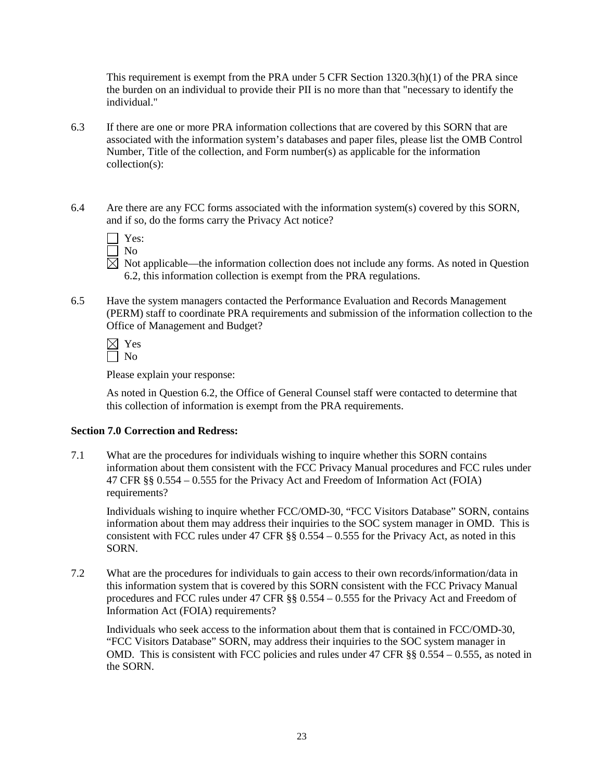This requirement is exempt from the PRA under 5 CFR Section 1320.3(h)(1) of the PRA since the burden on an individual to provide their PII is no more than that "necessary to identify the individual."

- 6.3 If there are one or more PRA information collections that are covered by this SORN that are associated with the information system's databases and paper files, please list the OMB Control Number, Title of the collection, and Form number(s) as applicable for the information collection(s):
- 6.4 Are there are any FCC forms associated with the information system(s) covered by this SORN, and if so, do the forms carry the Privacy Act notice?

| ×<br>i<br>۰, |
|--------------|
|              |

- No
- $\overline{\boxtimes}$  Not applicable—the information collection does not include any forms. As noted in Question 6.2, this information collection is exempt from the PRA regulations.
- 6.5 Have the system managers contacted the Performance Evaluation and Records Management (PERM) staff to coordinate PRA requirements and submission of the information collection to the Office of Management and Budget?

 $\boxtimes$  Yes  $\Box$  No

Please explain your response:

As noted in Question 6.2, the Office of General Counsel staff were contacted to determine that this collection of information is exempt from the PRA requirements.

# **Section 7.0 Correction and Redress:**

7.1 What are the procedures for individuals wishing to inquire whether this SORN contains information about them consistent with the FCC Privacy Manual procedures and FCC rules under 47 CFR §§ 0.554 – 0.555 for the Privacy Act and Freedom of Information Act (FOIA) requirements?

Individuals wishing to inquire whether FCC/OMD-30, "FCC Visitors Database" SORN, contains information about them may address their inquiries to the SOC system manager in OMD. This is consistent with FCC rules under 47 CFR §§ 0.554 – 0.555 for the Privacy Act, as noted in this SORN.

7.2 What are the procedures for individuals to gain access to their own records/information/data in this information system that is covered by this SORN consistent with the FCC Privacy Manual procedures and FCC rules under 47 CFR §§ 0.554 – 0.555 for the Privacy Act and Freedom of Information Act (FOIA) requirements?

Individuals who seek access to the information about them that is contained in FCC/OMD-30, "FCC Visitors Database" SORN, may address their inquiries to the SOC system manager in OMD. This is consistent with FCC policies and rules under 47 CFR §§ 0.554 – 0.555, as noted in the SORN.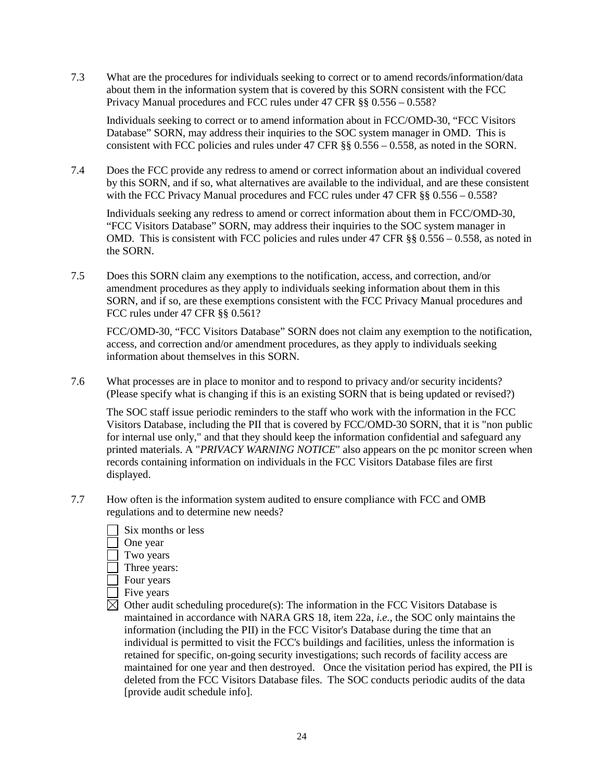7.3 What are the procedures for individuals seeking to correct or to amend records/information/data about them in the information system that is covered by this SORN consistent with the FCC Privacy Manual procedures and FCC rules under 47 CFR §§ 0.556 – 0.558?

Individuals seeking to correct or to amend information about in FCC/OMD-30, "FCC Visitors Database" SORN, may address their inquiries to the SOC system manager in OMD. This is consistent with FCC policies and rules under 47 CFR  $\S$ § 0.556 – 0.558, as noted in the SORN.

7.4 Does the FCC provide any redress to amend or correct information about an individual covered by this SORN, and if so, what alternatives are available to the individual, and are these consistent with the FCC Privacy Manual procedures and FCC rules under 47 CFR §§ 0.556 – 0.558?

Individuals seeking any redress to amend or correct information about them in FCC/OMD-30, "FCC Visitors Database" SORN, may address their inquiries to the SOC system manager in OMD. This is consistent with FCC policies and rules under 47 CFR §§ 0.556 – 0.558, as noted in the SORN.

7.5 Does this SORN claim any exemptions to the notification, access, and correction, and/or amendment procedures as they apply to individuals seeking information about them in this SORN, and if so, are these exemptions consistent with the FCC Privacy Manual procedures and FCC rules under 47 CFR §§ 0.561?

FCC/OMD-30, "FCC Visitors Database" SORN does not claim any exemption to the notification, access, and correction and/or amendment procedures, as they apply to individuals seeking information about themselves in this SORN.

7.6 What processes are in place to monitor and to respond to privacy and/or security incidents? (Please specify what is changing if this is an existing SORN that is being updated or revised?)

The SOC staff issue periodic reminders to the staff who work with the information in the FCC Visitors Database, including the PII that is covered by FCC/OMD-30 SORN, that it is "non public for internal use only," and that they should keep the information confidential and safeguard any printed materials. A "*PRIVACY WARNING NOTICE*" also appears on the pc monitor screen when records containing information on individuals in the FCC Visitors Database files are first displayed.

7.7 How often is the information system audited to ensure compliance with FCC and OMB regulations and to determine new needs?



- One year
- Two years
- Three years:
- Four years
- **Five years**
- $\boxtimes$  Other audit scheduling procedure(s): The information in the FCC Visitors Database is maintained in accordance with NARA GRS 18, item 22a, *i.e.*, the SOC only maintains the information (including the PII) in the FCC Visitor's Database during the time that an individual is permitted to visit the FCC's buildings and facilities, unless the information is retained for specific, on-going security investigations; such records of facility access are maintained for one year and then destroyed. Once the visitation period has expired, the PII is deleted from the FCC Visitors Database files. The SOC conducts periodic audits of the data [provide audit schedule info].